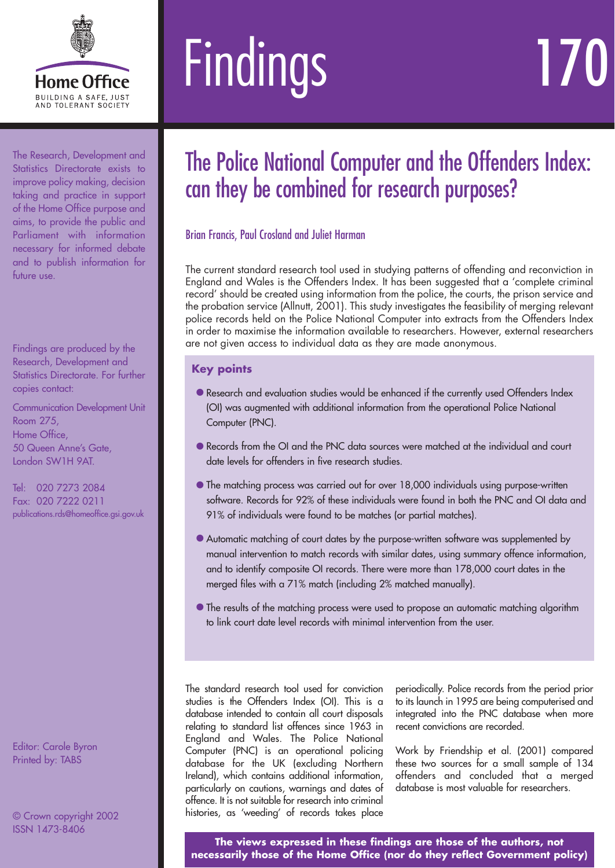

# Findings

The Research, Development and Statistics Directorate exists to improve policy making, decision taking and practice in support of the Home Office purpose and aims, to provide the public and Parliament with information necessary for informed debate and to publish information for future use.

Findings are produced by the Research, Development and Statistics Directorate. For further copies contact:

Communication Development Unit Room 275, Home Office, 50 Queen Anne's Gate, London SW1H 9AT.

Tel: 020 7273 2084 Fax: 020 7222 0211 publications.rds@homeoffice.gsi.gov.uk

Editor: Carole Byron Printed by: TABS

© Crown copyright 2002 ISSN 1473-8406

## The Police National Computer and the Offenders Index: can they be combined for research purposes?

### Brian Francis, Paul Crosland and Juliet Harman

The current standard research tool used in studying patterns of offending and reconviction in England and Wales is the Offenders Index. It has been suggested that a 'complete criminal record' should be created using information from the police, the courts, the prison service and the probation service (Allnutt, 2001). This study investigates the feasibility of merging relevant police records held on the Police National Computer into extracts from the Offenders Index in order to maximise the information available to researchers. However, external researchers are not given access to individual data as they are made anonymous.

### **Key points**

- •Research and evaluation studies would be enhanced if the currently used Offenders Index (OI) was augmented with additional information from the operational Police National Computer (PNC).
- Records from the OI and the PNC data sources were matched at the individual and court date levels for offenders in five research studies.
- **•** The matching process was carried out for over 18,000 individuals using purpose-written software. Records for 92% of these individuals were found in both the PNC and OI data and 91% of individuals were found to be matches (or partial matches).
- Automatic matching of court dates by the purpose-written software was supplemented by manual intervention to match records with similar dates, using summary offence information, and to identify composite OI records. There were more than 178,000 court dates in the merged files with a 71% match (including 2% matched manually).
- The results of the matching process were used to propose an automatic matching algorithm to link court date level records with minimal intervention from the user.

The standard research tool used for conviction studies is the Offenders Index (OI). This is a database intended to contain all court disposals relating to standard list offences since 1963 in England and Wales. The Police National Computer (PNC) is an operational policing database for the UK (excluding Northern Ireland), which contains additional information, particularly on cautions, warnings and dates of offence. It is not suitable for research into criminal histories, as 'weeding' of records takes place

periodically. Police records from the period prior to its launch in 1995 are being computerised and integrated into the PNC database when more recent convictions are recorded.

Work by Friendship et al. (2001) compared these two sources for a small sample of 134 offenders and concluded that a merged database is most valuable for researchers.

**The views expressed in these findings are those of the authors, not necessarily those of the Home Office (nor do they reflect Government policy)**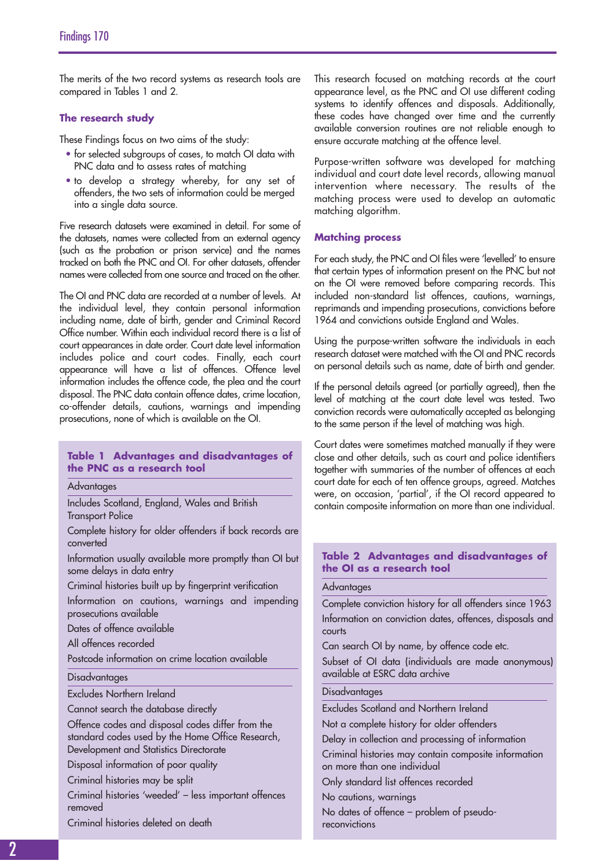The merits of the two record systems as research tools are compared in Tables 1 and 2.

#### **The research study**

These Findings focus on two aims of the study:

- for selected subgroups of cases, to match OI data with PNC data and to assess rates of matching
- to develop a strategy whereby, for any set of offenders, the two sets of information could be merged into a single data source.

Five research datasets were examined in detail. For some of the datasets, names were collected from an external agency (such as the probation or prison service) and the names tracked on both the PNC and OI. For other datasets, offender names were collected from one source and traced on the other.

The OI and PNC data are recorded at a number of levels. At the individual level, they contain personal information including name, date of birth, gender and Criminal Record Office number. Within each individual record there is a list of court appearances in date order. Court date level information includes police and court codes. Finally, each court appearance will have a list of offences. Offence level information includes the offence code, the plea and the court disposal. The PNC data contain offence dates, crime location, co-offender details, cautions, warnings and impending prosecutions, none of which is available on the OI.

#### **Table 1 Advantages and disadvantages of the PNC as a research tool**

**Advantages** 

Includes Scotland, England, Wales and British Transport Police

Complete history for older offenders if back records are converted

Information usually available more promptly than OI but some delays in data entry

Criminal histories built up by fingerprint verification

Information on cautions, warnings and impending prosecutions available

Dates of offence available

All offences recorded

Postcode information on crime location available

#### Disadvantages

Excludes Northern Ireland

Cannot search the database directly

Offence codes and disposal codes differ from the standard codes used by the Home Office Research, Development and Statistics Directorate

Disposal information of poor quality

Criminal histories may be split

Criminal histories 'weeded' – less important offences removed

Criminal histories deleted on death

This research focused on matching records at the court appearance level, as the PNC and OI use different coding systems to identify offences and disposals. Additionally, these codes have changed over time and the currently available conversion routines are not reliable enough to ensure accurate matching at the offence level.

Purpose-written software was developed for matching individual and court date level records, allowing manual intervention where necessary. The results of the matching process were used to develop an automatic matching algorithm.

#### **Matching process**

For each study, the PNC and OI files were 'levelled' to ensure that certain types of information present on the PNC but not on the OI were removed before comparing records. This included non-standard list offences, cautions, warnings, reprimands and impending prosecutions, convictions before 1964 and convictions outside England and Wales.

Using the purpose-written software the individuals in each research dataset were matched with the OI and PNC records on personal details such as name, date of birth and gender.

If the personal details agreed (or partially agreed), then the level of matching at the court date level was tested. Two conviction records were automatically accepted as belonging to the same person if the level of matching was high.

Court dates were sometimes matched manually if they were close and other details, such as court and police identifiers together with summaries of the number of offences at each court date for each of ten offence groups, agreed. Matches were, on occasion, 'partial', if the OI record appeared to contain composite information on more than one individual.

#### **Table 2 Advantages and disadvantages of the OI as a research tool**

#### Advantages

Complete conviction history for all offenders since 1963 Information on conviction dates, offences, disposals and courts

Can search OI by name, by offence code etc.

Subset of OI data (individuals are made anonymous) available at ESRC data archive

#### Disadvantages

Excludes Scotland and Northern Ireland

Not a complete history for older offenders

Delay in collection and processing of information

Criminal histories may contain composite information on more than one individual

Only standard list offences recorded

No cautions, warnings

No dates of offence – problem of pseudoreconvictions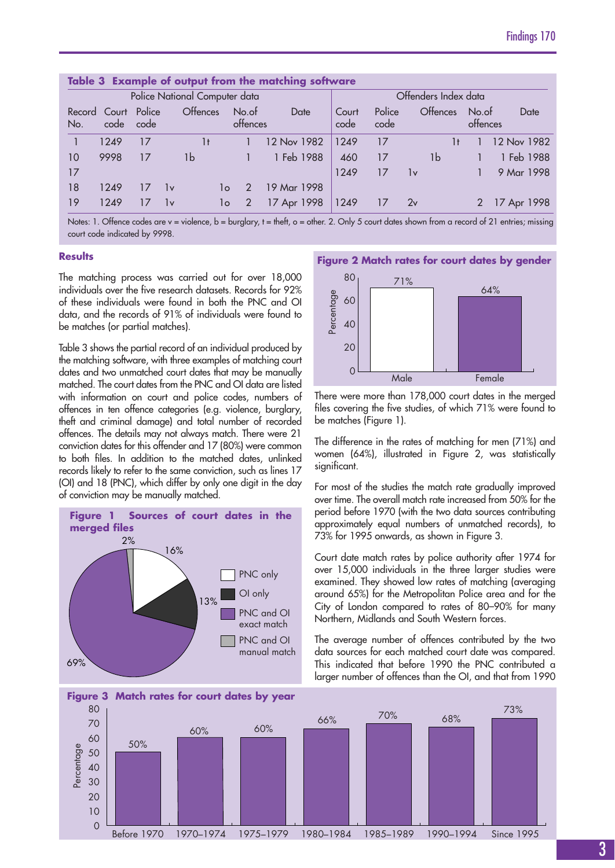| Table 3 Example of output from the matching software |                               |      |     |                 |                   |             |               |                      |                 |                   |             |  |
|------------------------------------------------------|-------------------------------|------|-----|-----------------|-------------------|-------------|---------------|----------------------|-----------------|-------------------|-------------|--|
|                                                      | Police National Computer data |      |     |                 |                   |             |               | Offenders Index data |                 |                   |             |  |
| No.                                                  | Record Court Police<br>code   | code |     | <b>Offences</b> | No.of<br>offences | Date        | Court<br>code | Police<br>code       | <b>Offences</b> | No.of<br>offences | Date        |  |
|                                                      | 1249                          | 17   |     | 1t              |                   | 12 Nov 1982 | 1249          | 17                   |                 |                   | 12 Nov 1982 |  |
| 10                                                   | 9998                          | 17   |     | 1b              |                   | 1 Feb 1988  | 460           | 17                   | 1b              |                   | 1 Feb 1988  |  |
| 17                                                   |                               |      |     |                 |                   |             | 1249          | 17                   | 1v              |                   | 9 Mar 1998  |  |
| 18                                                   | 1249                          |      | lv. | 1o              | $\mathcal{P}$     | 19 Mar 1998 |               |                      |                 |                   |             |  |
| 19                                                   | 1249                          |      | 1v  | lo              |                   | 17 Apr 1998 | 1249          |                      | 2v              |                   | 17 Apr 1998 |  |

Notes: 1. Offence codes are v = violence, b = burglary, t = theft, o = other. 2. Only 5 court dates shown from a record of 21 entries; missing court code indicated by 9998.

#### **Results**

The matching process was carried out for over 18,000 individuals over the five research datasets. Records for 92% of these individuals were found in both the PNC and OI data, and the records of 91% of individuals were found to be matches (or partial matches).

Table 3 shows the partial record of an individual produced by the matching software, with three examples of matching court dates and two unmatched court dates that may be manually matched. The court dates from the PNC and OI data are listed with information on court and police codes, numbers of offences in ten offence categories (e.g. violence, burglary, theft and criminal damage) and total number of recorded offences. The details may not always match. There were 21 conviction dates for this offender and 17 (80%) were common to both files. In addition to the matched dates, unlinked records likely to refer to the same conviction, such as lines 17 (OI) and 18 (PNC), which differ by only one digit in the day of conviction may be manually matched.



#### **Figure 2 Match rates for court dates by gender**



There were more than 178,000 court dates in the merged files covering the five studies, of which 71% were found to be matches (Figure 1).

The difference in the rates of matching for men (71%) and women (64%), illustrated in Figure 2, was statistically significant.

For most of the studies the match rate gradually improved over time. The overall match rate increased from 50% for the period before 1970 (with the two data sources contributing approximately equal numbers of unmatched records), to 73% for 1995 onwards, as shown in Figure 3.

Court date match rates by police authority after 1974 for over 15,000 individuals in the three larger studies were examined. They showed low rates of matching (averaging around 65%) for the Metropolitan Police area and for the City of London compared to rates of 80–90% for many Northern, Midlands and South Western forces.

The average number of offences contributed by the two data sources for each matched court date was compared. This indicated that before 1990 the PNC contributed a larger number of offences than the OI, and that from 1990